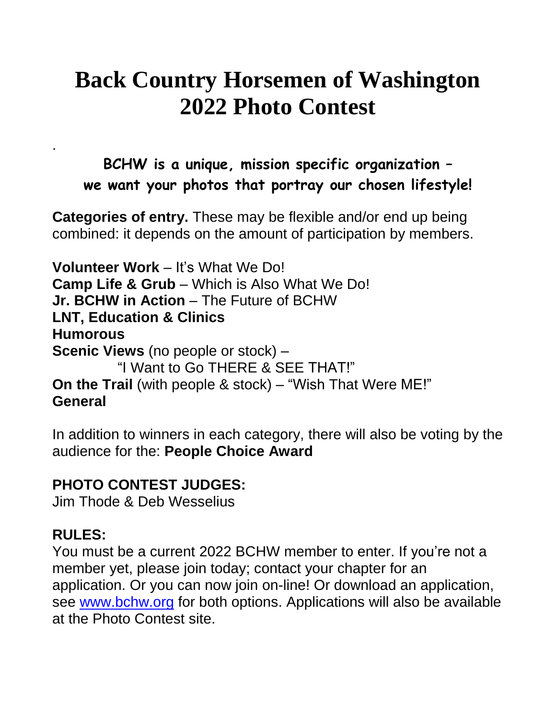## **Back Country Horsemen of Washington 2022 Photo Contest**

**BCHW is a unique, mission specific organization – we want your photos that portray our chosen lifestyle!**

**Categories of entry.** These may be flexible and/or end up being combined: it depends on the amount of participation by members.

**Volunteer Work** – It's What We Do! **Camp Life & Grub** – Which is Also What We Do! **Jr. BCHW in Action** – The Future of BCHW **LNT, Education & Clinics Humorous Scenic Views** (no people or stock) – "I Want to Go THERE & SEE THAT!" **On the Trail** (with people & stock) – "Wish That Were ME!" **General**

In addition to winners in each category, there will also be voting by the audience for the: **People Choice Award**

## **PHOTO CONTEST JUDGES:**

Jim Thode & Deb Wesselius

## **RULES:**

.

You must be a current 2022 BCHW member to enter. If you're not a member yet, please join today; contact your chapter for an application. Or you can now join on-line! Or download an application, see www.bchw.org for both options. Applications will also be available at the Photo Contest site.